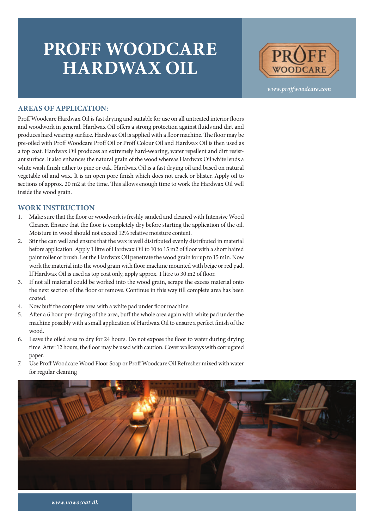## **PROFF WOODCARE HARDWAX OIL**



*www.proffwoodcare.com*

## **AREAS OF APPLICATION:**

Proff Woodcare Hardwax Oil is fast drying and suitable for use on all untreated interior floors and woodwork in general. Hardwax Oil offers a strong protection against fluids and dirt and produces hard wearing surface. Hardwax Oil is applied with a floor machine. The floor may be pre-oiled with Proff Woodcare Proff Oil or Proff Colour Oil and Hardwax Oil is then used as a top coat. Hardwax Oil produces an extremely hard-wearing, water repellent and dirt resistant surface. It also enhances the natural grain of the wood whereas Hardwax Oil white lends a white wash finish either to pine or oak. Hardwax Oil is a fast drying oil and based on natural vegetable oil and wax. It is an open pore finish which does not crack or blister. Apply oil to sections of approx. 20 m2 at the time. This allows enough time to work the Hardwax Oil well inside the wood grain.

## **WORK INSTRUCTION**

- 1. Make sure that the floor or woodwork is freshly sanded and cleaned with Intensive Wood Cleaner. Ensure that the floor is completely dry before starting the application of the oil. Moisture in wood should not exceed 12% relative moisture content.
- 2. Stir the can well and ensure that the wax is well distributed evenly distributed in material before application. Apply 1 litre of Hardwax Oil to 10 to 15 m2 of floor with a short haired paint roller or brush. Let the Hardwax Oil penetrate the wood grain for up to 15 min. Now work the material into the wood grain with floor machine mounted with beige or red pad. If Hardwax Oil is used as top coat only, apply approx. 1 litre to 30 m2 of floor.
- 3. If not all material could be worked into the wood grain, scrape the excess material onto the next section of the floor or remove. Continue in this way till complete area has been coated.
- 4. Now buff the complete area with a white pad under floor machine.
- 5. After a 6 hour pre-drying of the area, buff the whole area again with white pad under the machine possibly with a small application of Hardwax Oil to ensure a perfect finish of the wood.
- 6. Leave the oiled area to dry for 24 hours. Do not expose the floor to water during drying time. After 12 hours, the floor may be used with caution. Cover walkways with corrugated paper.
- 7. Use Proff Woodcare Wood Floor Soap or Proff Woodcare Oil Refresher mixed with water for regular cleaning